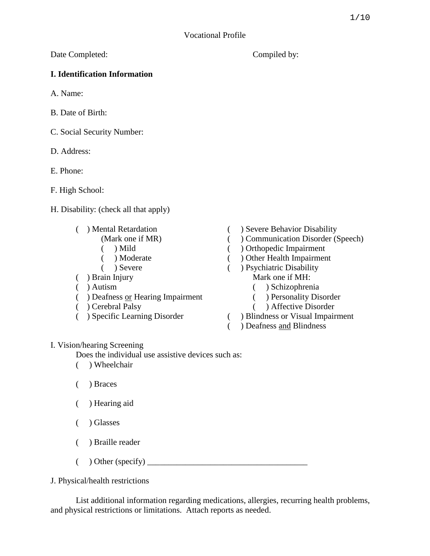Date Completed: Compiled by:

# **I. Identification Information**

A. Name:

- B. Date of Birth:
- C. Social Security Number:
- D. Address:
- E. Phone:
- F. High School:
- H. Disability: (check all that apply)
	- - -
			-
			-
	-
	-
	- ( ) Deafness or Hearing Impairment ( ) Personality Disorder
	-
	-
- ( ) Mental Retardation ( ) Severe Behavior Disability
	- (Mark one if MR) ( ) Communication Disorder (Speech)
	- ( ) Mild ( ) Orthopedic Impairment
	- ( ) Moderate ( ) Other Health Impairment
- ( ) Severe ( ) Psychiatric Disability ( ) Brain Injury Mark one if MH:
- ( ) Autism ( ) Schizophrenia
	-
- ( ) Cerebral Palsy ( ) Affective Disorder
- ( ) Specific Learning Disorder ( ) Blindness or Visual Impairment
	- ( ) Deafness and Blindness

#### I. Vision/hearing Screening

Does the individual use assistive devices such as:

- ( ) Wheelchair
- ( ) Braces
- ( ) Hearing aid
- ( ) Glasses
- ( ) Braille reader
- ( ) Other (specify) \_\_\_\_\_\_\_\_\_\_\_\_\_\_\_\_\_\_\_\_\_\_\_\_\_\_\_\_\_\_\_\_\_\_\_\_\_\_

J. Physical/health restrictions

List additional information regarding medications, allergies, recurring health problems, and physical restrictions or limitations. Attach reports as needed.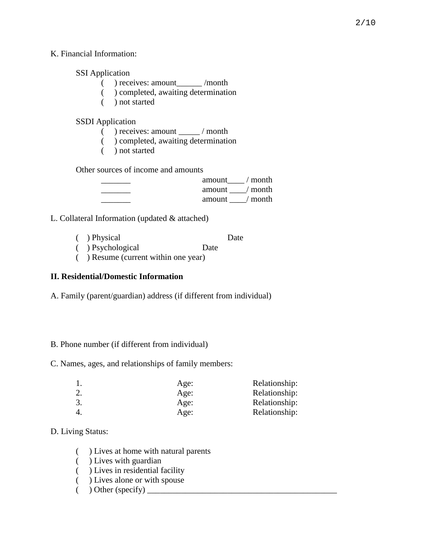### K. Financial Information:

SSI Application

- ( ) receives: amount\_\_\_\_\_\_ /month
- ( ) completed, awaiting determination
- ( ) not started

SSDI Application

- ( ) receives: amount \_\_\_\_\_ / month
- ( ) completed, awaiting determination
- ( ) not started

Other sources of income and amounts

| amount / month |
|----------------|
| amount / month |
| amount / month |

- L. Collateral Information (updated & attached)
	- ( ) Physical Date
	- ( ) Psychological Date
	- ( ) Resume (current within one year)

# **II. Residential/Domestic Information**

A. Family (parent/guardian) address (if different from individual)

# B. Phone number (if different from individual)

C. Names, ages, and relationships of family members:

|    | Age: | Relationship: |
|----|------|---------------|
|    | Age: | Relationship: |
| 3. | Age: | Relationship: |
| 4. | Age: | Relationship: |

#### D. Living Status:

- ( ) Lives at home with natural parents
- ( ) Lives with guardian
- ( ) Lives in residential facility
- ( ) Lives alone or with spouse
- $\big)$  Other (specify)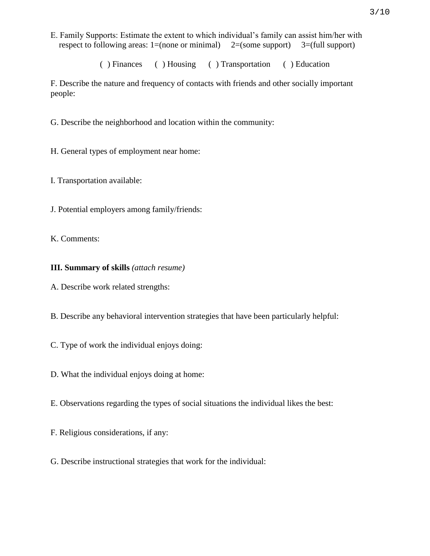E. Family Supports: Estimate the extent to which individual's family can assist him/her with respect to following areas:  $1=(none or minimal)$   $2=(some support)$   $3=(full support)$ 

( ) Finances ( ) Housing ( ) Transportation ( ) Education

F. Describe the nature and frequency of contacts with friends and other socially important people:

G. Describe the neighborhood and location within the community:

- H. General types of employment near home:
- I. Transportation available:
- J. Potential employers among family/friends:
- K. Comments:

## **III. Summary of skills** *(attach resume)*

- A. Describe work related strengths:
- B. Describe any behavioral intervention strategies that have been particularly helpful:
- C. Type of work the individual enjoys doing:
- D. What the individual enjoys doing at home:
- E. Observations regarding the types of social situations the individual likes the best:
- F. Religious considerations, if any:
- G. Describe instructional strategies that work for the individual: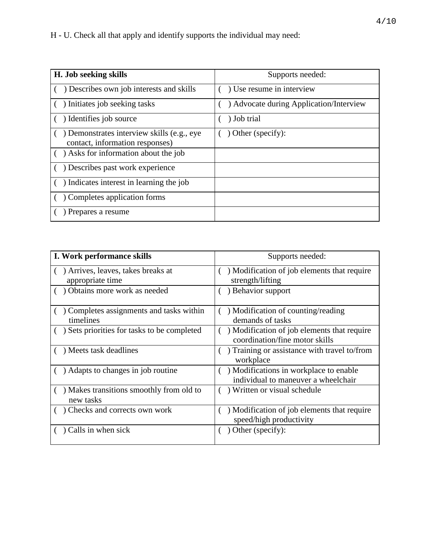| H. Job seeking skills                                                       | Supports needed:                        |
|-----------------------------------------------------------------------------|-----------------------------------------|
| Describes own job interests and skills                                      | ) Use resume in interview               |
| Initiates job seeking tasks                                                 | ) Advocate during Application/Interview |
| ) Identifies job source                                                     | ) Job trial                             |
| Demonstrates interview skills (e.g., eye<br>contact, information responses) | $\int$ ) Other (specify):               |
| Asks for information about the job                                          |                                         |
| Describes past work experience                                              |                                         |
| ) Indicates interest in learning the job                                    |                                         |
| Completes application forms                                                 |                                         |
| Prepares a resume                                                           |                                         |

| I. Work performance skills                           | Supports needed:                                                              |
|------------------------------------------------------|-------------------------------------------------------------------------------|
| Arrives, leaves, takes breaks at<br>appropriate time | ) Modification of job elements that require<br>strength/lifting               |
| Obtains more work as needed                          | ) Behavior support                                                            |
| Completes assignments and tasks within<br>timelines  | ) Modification of counting/reading<br>demands of tasks                        |
| Sets priorities for tasks to be completed            | Modification of job elements that require<br>coordination/fine motor skills   |
| ) Meets task deadlines                               | Training or assistance with travel to/from<br>workplace                       |
| Adapts to changes in job routine                     | ) Modifications in workplace to enable<br>individual to maneuver a wheelchair |
| Makes transitions smoothly from old to<br>new tasks  | ) Written or visual schedule                                                  |
| Checks and corrects own work                         | ) Modification of job elements that require<br>speed/high productivity        |
| Calls in when sick                                   | Other (specify):                                                              |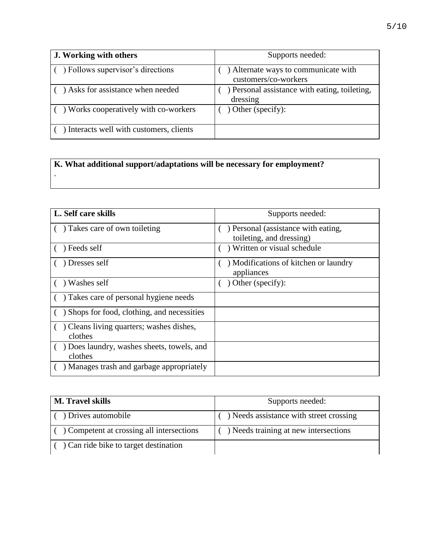| J. Working with others                   | Supports needed:                                             |
|------------------------------------------|--------------------------------------------------------------|
| ) Follows supervisor's directions        | ) Alternate ways to communicate with<br>customers/co-workers |
| ) Asks for assistance when needed        | ) Personal assistance with eating, toileting,<br>dressing    |
| ) Works cooperatively with co-workers    | $\int$ ) Other (specify):                                    |
| ) Interacts well with customers, clients |                                                              |

# **K. What additional support/adaptations will be necessary for employment?**

.

| L. Self care skills                                 | Supports needed:                                                |
|-----------------------------------------------------|-----------------------------------------------------------------|
| ) Takes care of own toileting                       | ) Personal (assistance with eating,<br>toileting, and dressing) |
| Feeds self                                          | Written or visual schedule                                      |
| Dresses self                                        | ) Modifications of kitchen or laundry<br>appliances             |
| Washes self                                         | Other (specify):                                                |
| ) Takes care of personal hygiene needs              |                                                                 |
| ) Shops for food, clothing, and necessities         |                                                                 |
| Cleans living quarters; washes dishes,<br>clothes   |                                                                 |
| Does laundry, washes sheets, towels, and<br>clothes |                                                                 |
| Manages trash and garbage appropriately             |                                                                 |

| <b>M. Travel skills</b>                 | Supports needed:                        |
|-----------------------------------------|-----------------------------------------|
| ) Drives automobile                     | ) Needs assistance with street crossing |
| Competent at crossing all intersections | ) Needs training at new intersections   |
| Can ride bike to target destination     |                                         |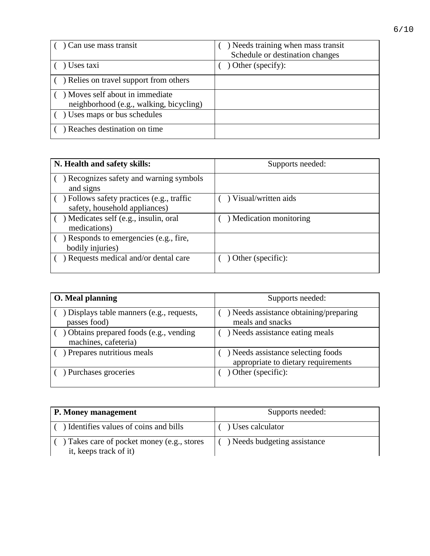| Can use mass transit                                                       | ) Needs training when mass transit |
|----------------------------------------------------------------------------|------------------------------------|
|                                                                            | Schedule or destination changes    |
| Uses taxi                                                                  | $\int$ ) Other (specify):          |
| ) Relies on travel support from others                                     |                                    |
| ) Moves self about in immediate<br>neighborhood (e.g., walking, bicycling) |                                    |
| ) Uses maps or bus schedules                                               |                                    |
| ) Reaches destination on time                                              |                                    |

| N. Health and safety skills:                                               | Supports needed:        |
|----------------------------------------------------------------------------|-------------------------|
| ) Recognizes safety and warning symbols<br>and signs                       |                         |
| ) Follows safety practices (e.g., traffic<br>safety, household appliances) | ) Visual/written aids   |
| ) Medicates self (e.g., insulin, oral<br>medications)                      | ) Medication monitoring |
| ) Responds to emergencies (e.g., fire,<br>bodily injuries)                 |                         |
| Requests medical and/or dental care                                        | Other (specific):       |

| O. Meal planning                                                | Supports needed:                                                          |
|-----------------------------------------------------------------|---------------------------------------------------------------------------|
| ) Displays table manners (e.g., requests,<br>passes food)       | ) Needs assistance obtaining/preparing<br>meals and snacks                |
| ) Obtains prepared foods (e.g., vending<br>machines, cafeteria) | ) Needs assistance eating meals                                           |
| ) Prepares nutritious meals                                     | ) Needs assistance selecting foods<br>appropriate to dietary requirements |
| ) Purchases groceries                                           | (b) Other (specific):                                                     |

| <b>P. Money management</b>                                         | Supports needed:             |
|--------------------------------------------------------------------|------------------------------|
| ) Identifies values of coins and bills                             | ) Uses calculator            |
| Takes care of pocket money (e.g., stores<br>it, keeps track of it) | ) Needs budgeting assistance |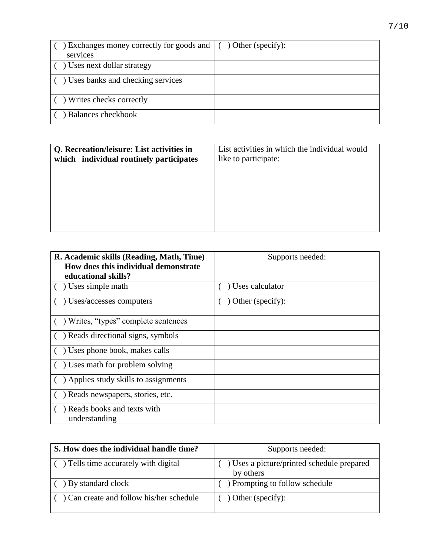| ) Exchanges money correctly for goods and $\vert \cdot \rangle$ Other (specify): |  |
|----------------------------------------------------------------------------------|--|
| services                                                                         |  |
| () Uses next dollar strategy                                                     |  |
| $\left( \quad \right)$ Uses banks and checking services                          |  |
| $\left( \quad \right)$ Writes checks correctly                                   |  |
| ) Balances checkbook                                                             |  |

| Q. Recreation/leisure: List activities in<br>which individual routinely participates | List activities in which the individual would<br>like to participate: |
|--------------------------------------------------------------------------------------|-----------------------------------------------------------------------|
|                                                                                      |                                                                       |
|                                                                                      |                                                                       |
|                                                                                      |                                                                       |

| R. Academic skills (Reading, Math, Time)<br>How does this individual demonstrate | Supports needed: |
|----------------------------------------------------------------------------------|------------------|
| educational skills?                                                              |                  |
| Uses simple math                                                                 | Uses calculator  |
| Uses/accesses computers                                                          | Other (specify): |
| Writes, "types" complete sentences                                               |                  |
| Reads directional signs, symbols                                                 |                  |
| Uses phone book, makes calls                                                     |                  |
| Uses math for problem solving                                                    |                  |
| Applies study skills to assignments                                              |                  |
| Reads newspapers, stories, etc.                                                  |                  |
| Reads books and texts with<br>understanding                                      |                  |

| S. How does the individual handle time? | Supports needed:                                        |
|-----------------------------------------|---------------------------------------------------------|
| ) Tells time accurately with digital    | ) Uses a picture/printed schedule prepared<br>by others |
| ) By standard clock                     | ) Prompting to follow schedule                          |
| Can create and follow his/her schedule  | $\int$ ) Other (specify):                               |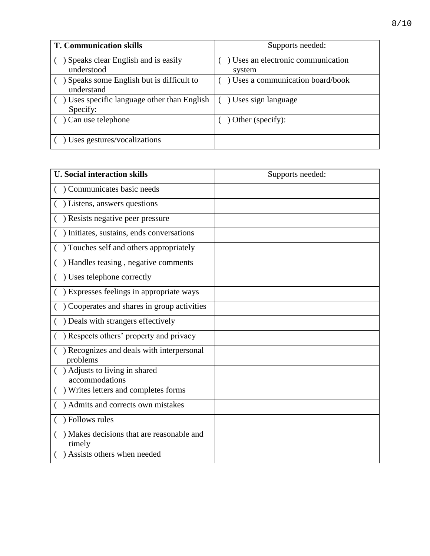| <b>T. Communication skills</b>                          | Supports needed:                           |
|---------------------------------------------------------|--------------------------------------------|
| Speaks clear English and is easily<br>understood        | Uses an electronic communication<br>system |
| Speaks some English but is difficult to<br>understand   | Uses a communication board/book            |
| ) Uses specific language other than English<br>Specify: | Uses sign language                         |
| Can use telephone                                       | Other (specify):                           |
| Uses gestures/vocalizations                             |                                            |

| <b>U. Social interaction skills</b>                   | Supports needed: |
|-------------------------------------------------------|------------------|
| Communicates basic needs                              |                  |
| ) Listens, answers questions                          |                  |
| Resists negative peer pressure                        |                  |
| Initiates, sustains, ends conversations               |                  |
| ) Touches self and others appropriately               |                  |
| Handles teasing, negative comments                    |                  |
| ) Uses telephone correctly                            |                  |
| Expresses feelings in appropriate ways                |                  |
| Cooperates and shares in group activities             |                  |
| ) Deals with strangers effectively                    |                  |
| Respects others' property and privacy                 |                  |
| ) Recognizes and deals with interpersonal<br>problems |                  |
| ( ) Adjusts to living in shared<br>accommodations     |                  |
| ) Writes letters and completes forms                  |                  |
| Admits and corrects own mistakes                      |                  |
| <b>Follows</b> rules                                  |                  |
| Makes decisions that are reasonable and<br>timely     |                  |
| Assists others when needed                            |                  |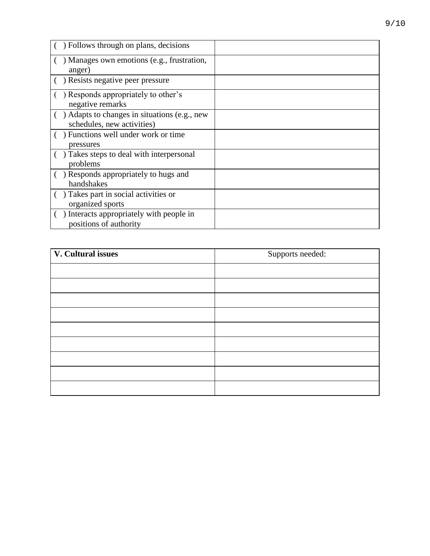| Follows through on plans, decisions                                      |  |
|--------------------------------------------------------------------------|--|
| Manages own emotions (e.g., frustration,<br>anger)                       |  |
| Resists negative peer pressure                                           |  |
| Responds appropriately to other's<br>negative remarks                    |  |
| Adapts to changes in situations (e.g., new<br>schedules, new activities) |  |
| Functions well under work or time<br>pressures                           |  |
| Takes steps to deal with interpersonal<br>problems                       |  |
| Responds appropriately to hugs and<br>handshakes                         |  |
| Takes part in social activities or<br>organized sports                   |  |
| Interacts appropriately with people in<br>positions of authority         |  |

| V. Cultural issues | Supports needed: |
|--------------------|------------------|
|                    |                  |
|                    |                  |
|                    |                  |
|                    |                  |
|                    |                  |
|                    |                  |
|                    |                  |
|                    |                  |
|                    |                  |